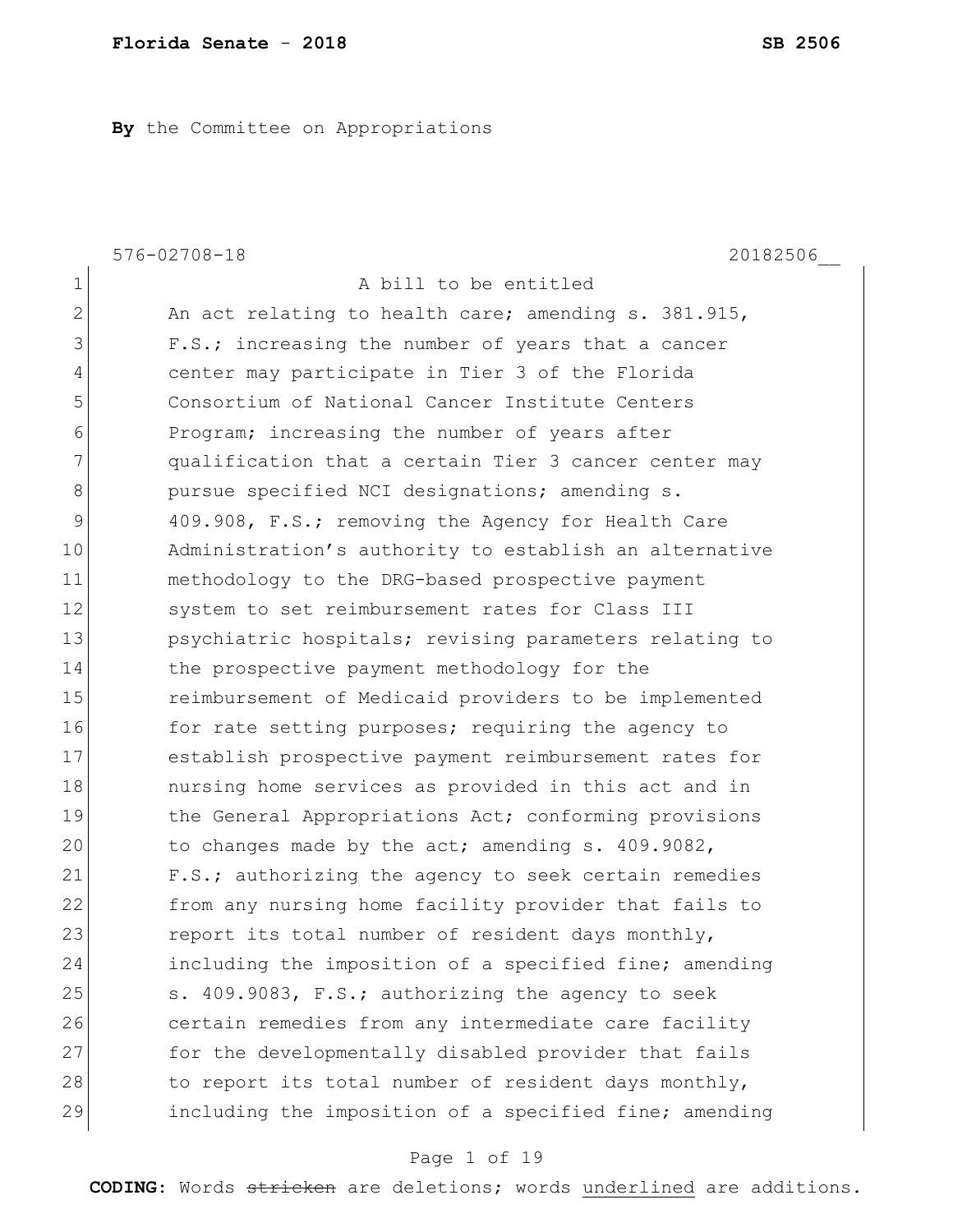**By** the Committee on Appropriations

|                | $576 - 02708 - 18$<br>20182506                         |
|----------------|--------------------------------------------------------|
| 1              | A bill to be entitled                                  |
| $\overline{2}$ | An act relating to health care; amending s. 381.915,   |
| 3              | F.S.; increasing the number of years that a cancer     |
| 4              | center may participate in Tier 3 of the Florida        |
| 5              | Consortium of National Cancer Institute Centers        |
| 6              | Program; increasing the number of years after          |
| 7              | qualification that a certain Tier 3 cancer center may  |
| 8              | pursue specified NCI designations; amending s.         |
| 9              | 409.908, F.S.; removing the Agency for Health Care     |
| 10             | Administration's authority to establish an alternative |
| 11             | methodology to the DRG-based prospective payment       |
| 12             | system to set reimbursement rates for Class III        |
| 13             | psychiatric hospitals; revising parameters relating to |
| 14             | the prospective payment methodology for the            |
| 15             | reimbursement of Medicaid providers to be implemented  |
| 16             | for rate setting purposes; requiring the agency to     |
| 17             | establish prospective payment reimbursement rates for  |
| 18             | nursing home services as provided in this act and in   |
| 19             | the General Appropriations Act; conforming provisions  |
| 20             | to changes made by the act; amending s. 409.9082,      |
| 21             | F.S.; authorizing the agency to seek certain remedies  |
| 22             | from any nursing home facility provider that fails to  |
| 23             | report its total number of resident days monthly,      |
| 24             | including the imposition of a specified fine; amending |
| 25             | s. 409.9083, F.S.; authorizing the agency to seek      |
| 26             | certain remedies from any intermediate care facility   |
| 27             | for the developmentally disabled provider that fails   |
| 28             | to report its total number of resident days monthly,   |
| 29             | including the imposition of a specified fine; amending |

# Page 1 of 19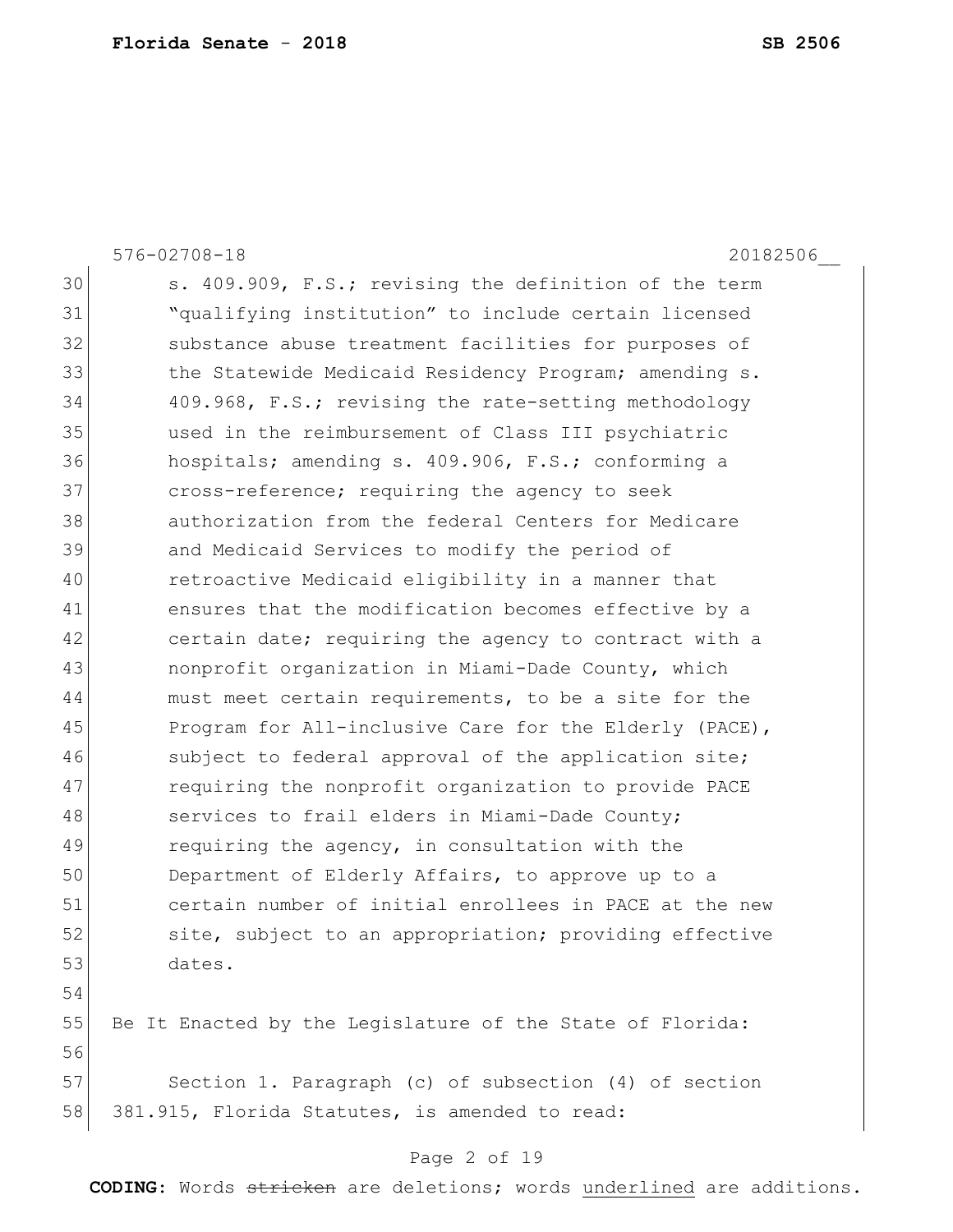576-02708-18 20182506\_\_ 30 s. 409.909, F.S.; revising the definition of the term 31 "qualifying institution" to include certain licensed 32 substance abuse treatment facilities for purposes of 33 The Statewide Medicaid Residency Program; amending s. 34 409.968, F.S.; revising the rate-setting methodology 35 used in the reimbursement of Class III psychiatric 36 hospitals; amending s. 409.906, F.S.; conforming a 37 cross-reference; requiring the agency to seek 38 authorization from the federal Centers for Medicare 39 and Medicaid Services to modify the period of 40 retroactive Medicaid eligibility in a manner that 41 ensures that the modification becomes effective by a 42 certain date; requiring the agency to contract with a 43 nonprofit organization in Miami-Dade County, which 44 must meet certain requirements, to be a site for the 45 Program for All-inclusive Care for the Elderly (PACE), 46 subject to federal approval of the application site; 47 requiring the nonprofit organization to provide PACE 48 services to frail elders in Miami-Dade County; 49 requiring the agency, in consultation with the 50 Department of Elderly Affairs, to approve up to a 51 certain number of initial enrollees in PACE at the new 52 site, subject to an appropriation; providing effective 53 dates. 54

55 Be It Enacted by the Legislature of the State of Florida: 56

57 Section 1. Paragraph (c) of subsection (4) of section 58 381.915, Florida Statutes, is amended to read:

### Page 2 of 19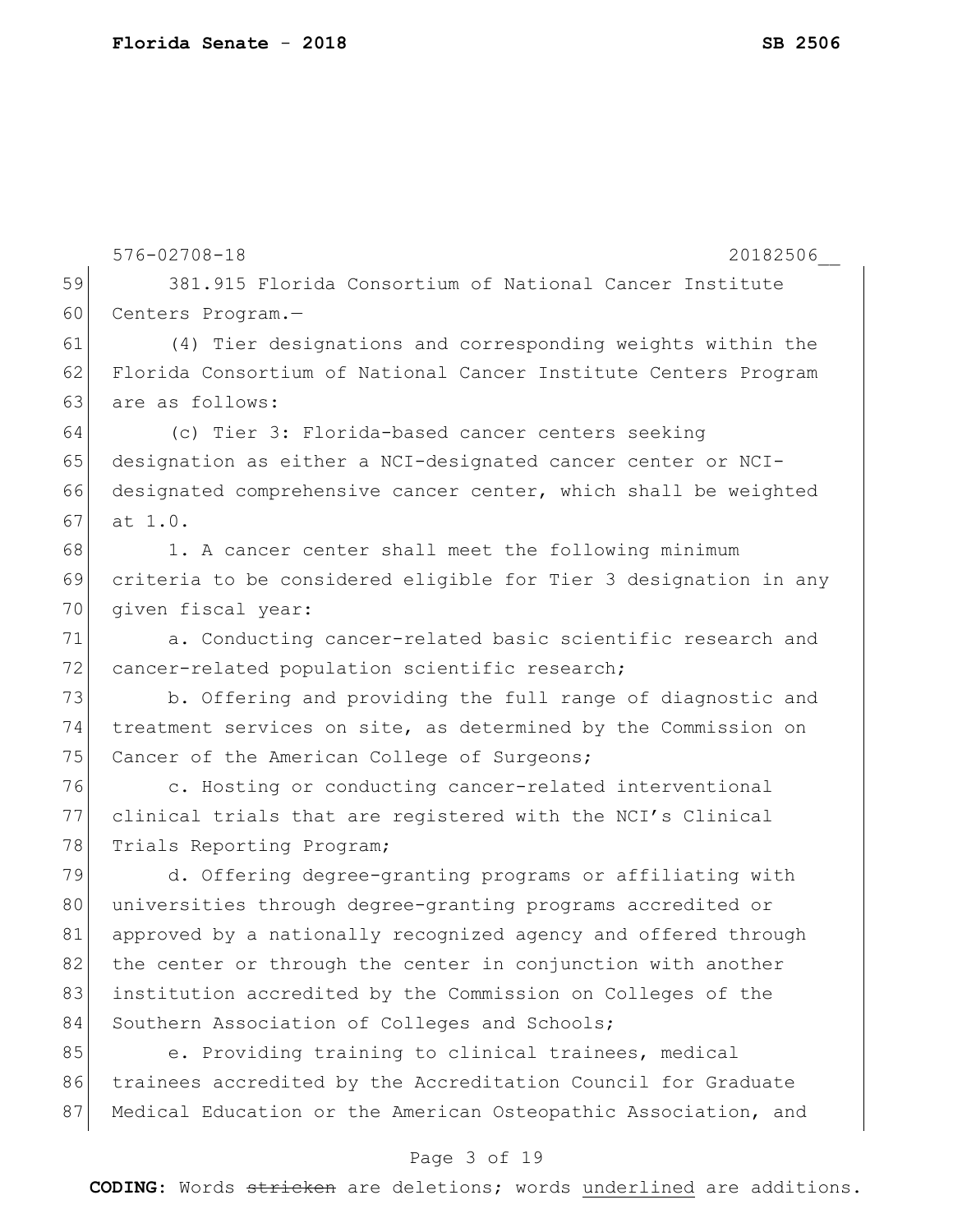|    | $576 - 02708 - 18$<br>20182506                                   |
|----|------------------------------------------------------------------|
| 59 | 381.915 Florida Consortium of National Cancer Institute          |
| 60 | Centers Program.-                                                |
| 61 | (4) Tier designations and corresponding weights within the       |
| 62 | Florida Consortium of National Cancer Institute Centers Program  |
| 63 | are as follows:                                                  |
| 64 | (c) Tier 3: Florida-based cancer centers seeking                 |
| 65 | designation as either a NCI-designated cancer center or NCI-     |
| 66 | designated comprehensive cancer center, which shall be weighted  |
| 67 | at 1.0.                                                          |
| 68 | 1. A cancer center shall meet the following minimum              |
| 69 | criteria to be considered eligible for Tier 3 designation in any |
| 70 | given fiscal year:                                               |
| 71 | a. Conducting cancer-related basic scientific research and       |
| 72 | cancer-related population scientific research;                   |
| 73 | b. Offering and providing the full range of diagnostic and       |
| 74 | treatment services on site, as determined by the Commission on   |
| 75 | Cancer of the American College of Surgeons;                      |
| 76 | c. Hosting or conducting cancer-related interventional           |
| 77 | clinical trials that are registered with the NCI's Clinical      |
| 78 | Trials Reporting Program;                                        |
| 79 | d. Offering degree-granting programs or affiliating with         |
| 80 | universities through degree-granting programs accredited or      |
| 81 | approved by a nationally recognized agency and offered through   |
| 82 | the center or through the center in conjunction with another     |
| 83 | institution accredited by the Commission on Colleges of the      |
| 84 | Southern Association of Colleges and Schools;                    |
| 85 | e. Providing training to clinical trainees, medical              |
| 86 | trainees accredited by the Accreditation Council for Graduate    |
| 87 | Medical Education or the American Osteopathic Association, and   |
|    | Page 3 of 19                                                     |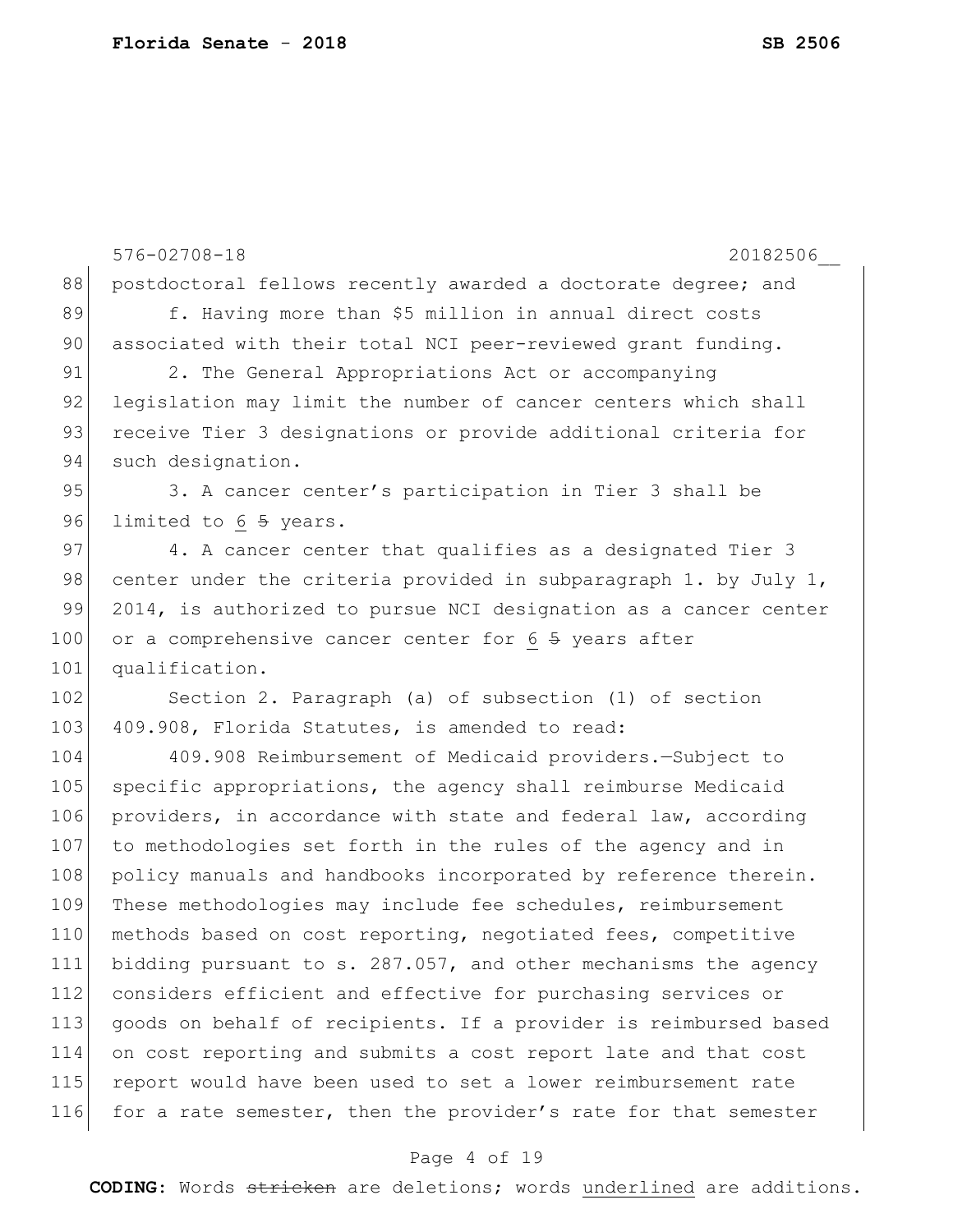576-02708-18 20182506\_\_ 88 | postdoctoral fellows recently awarded a doctorate degree; and 89 f. Having more than \$5 million in annual direct costs 90 associated with their total NCI peer-reviewed grant funding. 91 2. The General Appropriations Act or accompanying 92 legislation may limit the number of cancer centers which shall 93 receive Tier 3 designations or provide additional criteria for 94 such designation. 95 3. A cancer center's participation in Tier 3 shall be 96 limited to 6 5 years. 97 4. A cancer center that qualifies as a designated Tier 3 98 center under the criteria provided in subparagraph 1. by July 1, 99 2014, is authorized to pursue NCI designation as a cancer center 100 or a comprehensive cancer center for 6 5 years after 101 qualification. 102 Section 2. Paragraph (a) of subsection (1) of section 103 409.908, Florida Statutes, is amended to read: 104 409.908 Reimbursement of Medicaid providers.—Subject to 105 specific appropriations, the agency shall reimburse Medicaid 106 providers, in accordance with state and federal law, according 107 to methodologies set forth in the rules of the agency and in 108 policy manuals and handbooks incorporated by reference therein. 109 These methodologies may include fee schedules, reimbursement 110 methods based on cost reporting, negotiated fees, competitive 111 bidding pursuant to s. 287.057, and other mechanisms the agency 112 considers efficient and effective for purchasing services or 113 goods on behalf of recipients. If a provider is reimbursed based 114 on cost reporting and submits a cost report late and that cost 115 report would have been used to set a lower reimbursement rate 116 for a rate semester, then the provider's rate for that semester

#### Page 4 of 19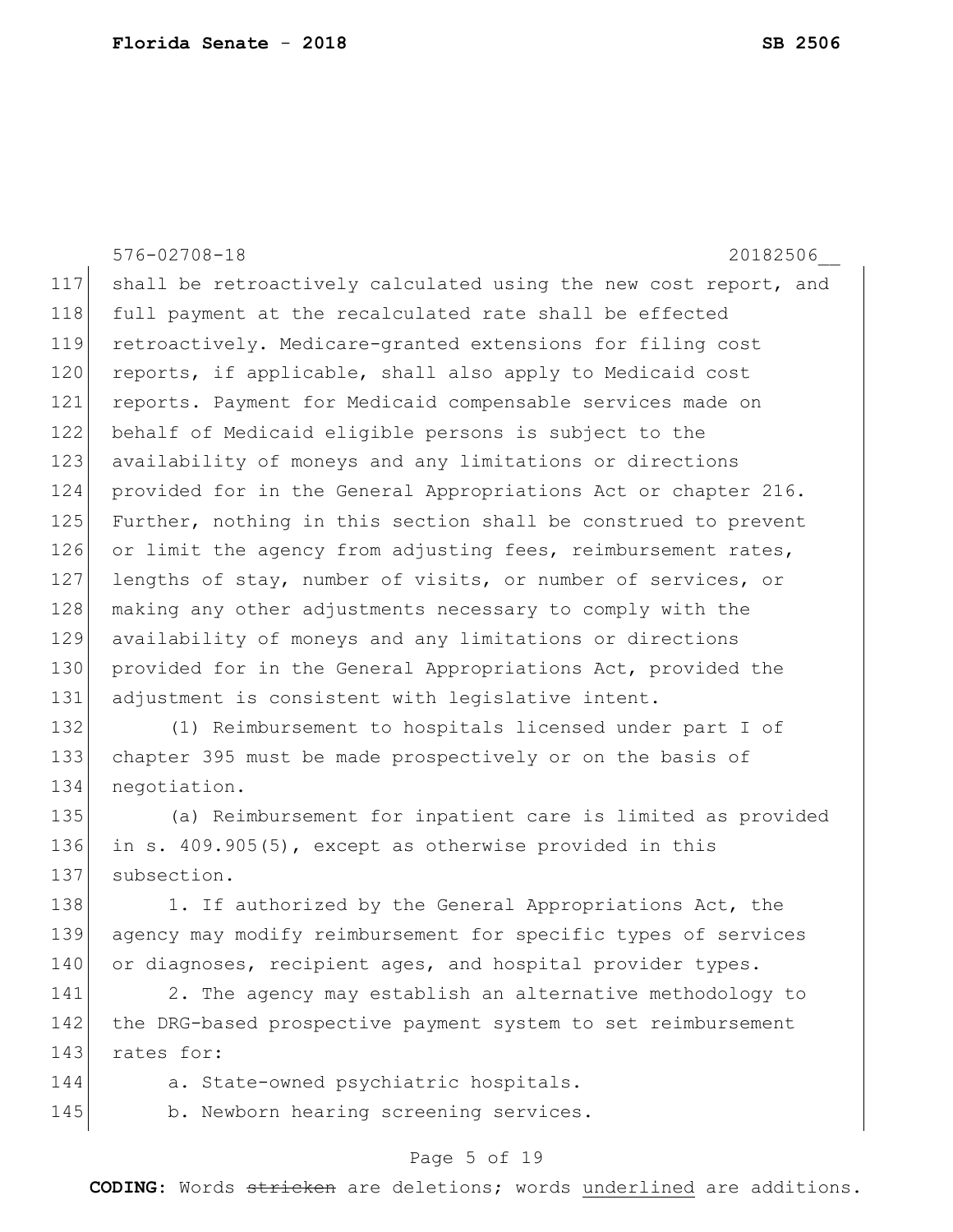576-02708-18 20182506\_\_ 117 shall be retroactively calculated using the new cost report, and 118 full payment at the recalculated rate shall be effected 119 retroactively. Medicare-granted extensions for filing cost 120 reports, if applicable, shall also apply to Medicaid cost 121 reports. Payment for Medicaid compensable services made on 122 behalf of Medicaid eligible persons is subject to the 123 availability of moneys and any limitations or directions 124 provided for in the General Appropriations Act or chapter 216. 125 Further, nothing in this section shall be construed to prevent 126 or limit the agency from adjusting fees, reimbursement rates, 127 lengths of stay, number of visits, or number of services, or 128 making any other adjustments necessary to comply with the 129 availability of moneys and any limitations or directions 130 provided for in the General Appropriations Act, provided the 131 adjustment is consistent with legislative intent. 132 (1) Reimbursement to hospitals licensed under part I of 133 chapter 395 must be made prospectively or on the basis of 134 negotiation. 135 (a) Reimbursement for inpatient care is limited as provided 136 in s. 409.905(5), except as otherwise provided in this 137 subsection. 138 1. If authorized by the General Appropriations Act, the 139 agency may modify reimbursement for specific types of services 140 or diagnoses, recipient ages, and hospital provider types. 141 2. The agency may establish an alternative methodology to 142 the DRG-based prospective payment system to set reimbursement 143 rates for: 144 a. State-owned psychiatric hospitals. 145 b. Newborn hearing screening services.

### Page 5 of 19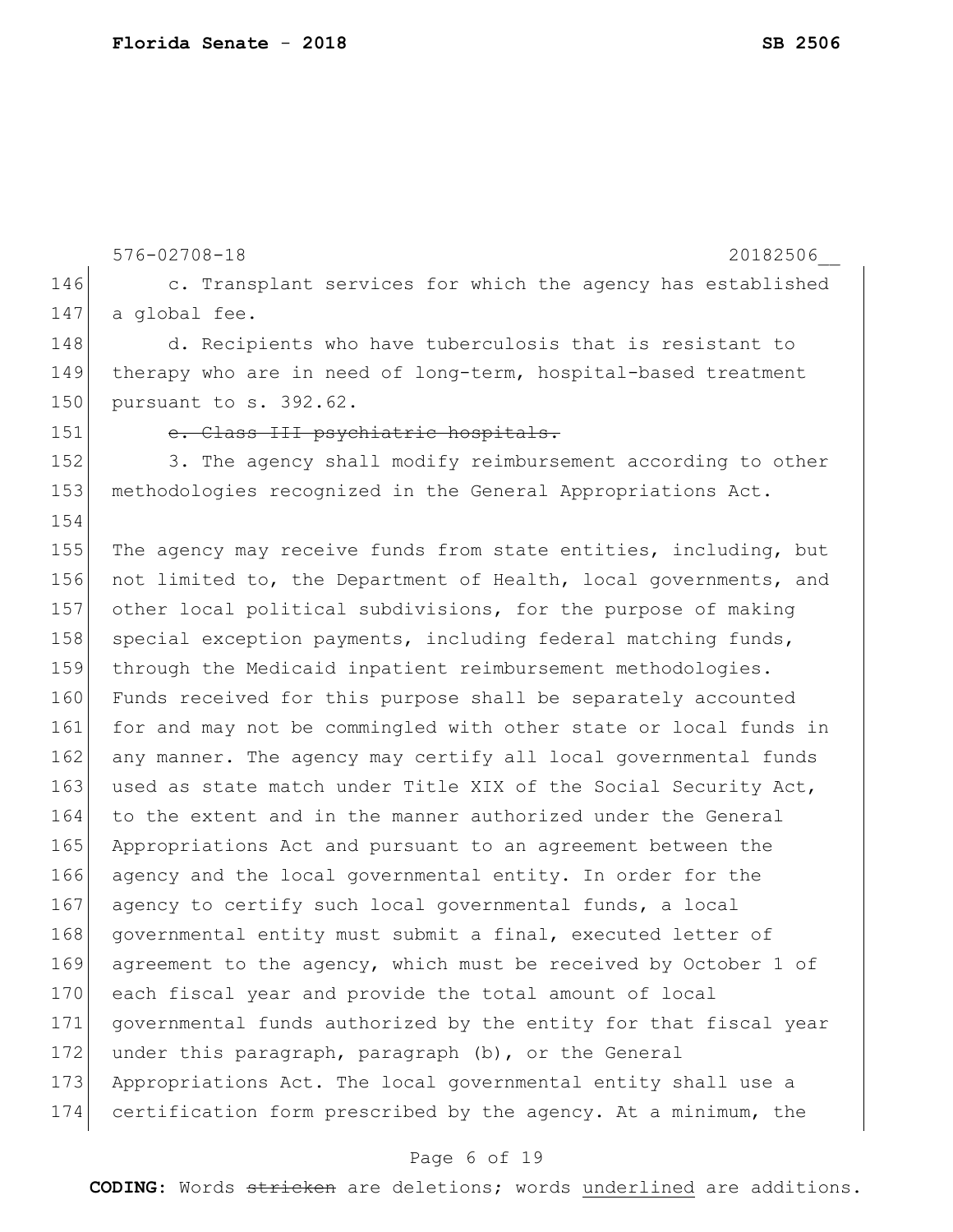576-02708-18 20182506\_\_ 146 c. Transplant services for which the agency has established 147 a global fee. 148 d. Recipients who have tuberculosis that is resistant to 149 therapy who are in need of long-term, hospital-based treatment 150 pursuant to s. 392.62. 151 e. Class III psychiatric hospitals. 152 3. The agency shall modify reimbursement according to other 153 methodologies recognized in the General Appropriations Act. 154 155 The agency may receive funds from state entities, including, but 156 not limited to, the Department of Health, local governments, and 157 other local political subdivisions, for the purpose of making 158 special exception payments, including federal matching funds, 159 through the Medicaid inpatient reimbursement methodologies. 160 Funds received for this purpose shall be separately accounted 161 for and may not be commingled with other state or local funds in 162 any manner. The agency may certify all local governmental funds 163 used as state match under Title XIX of the Social Security Act, 164 to the extent and in the manner authorized under the General 165 Appropriations Act and pursuant to an agreement between the 166 agency and the local governmental entity. In order for the 167 agency to certify such local governmental funds, a local 168 governmental entity must submit a final, executed letter of 169 agreement to the agency, which must be received by October 1 of 170 each fiscal year and provide the total amount of local 171 governmental funds authorized by the entity for that fiscal year 172 under this paragraph, paragraph (b), or the General 173 Appropriations Act. The local governmental entity shall use a 174 certification form prescribed by the agency. At a minimum, the

### Page 6 of 19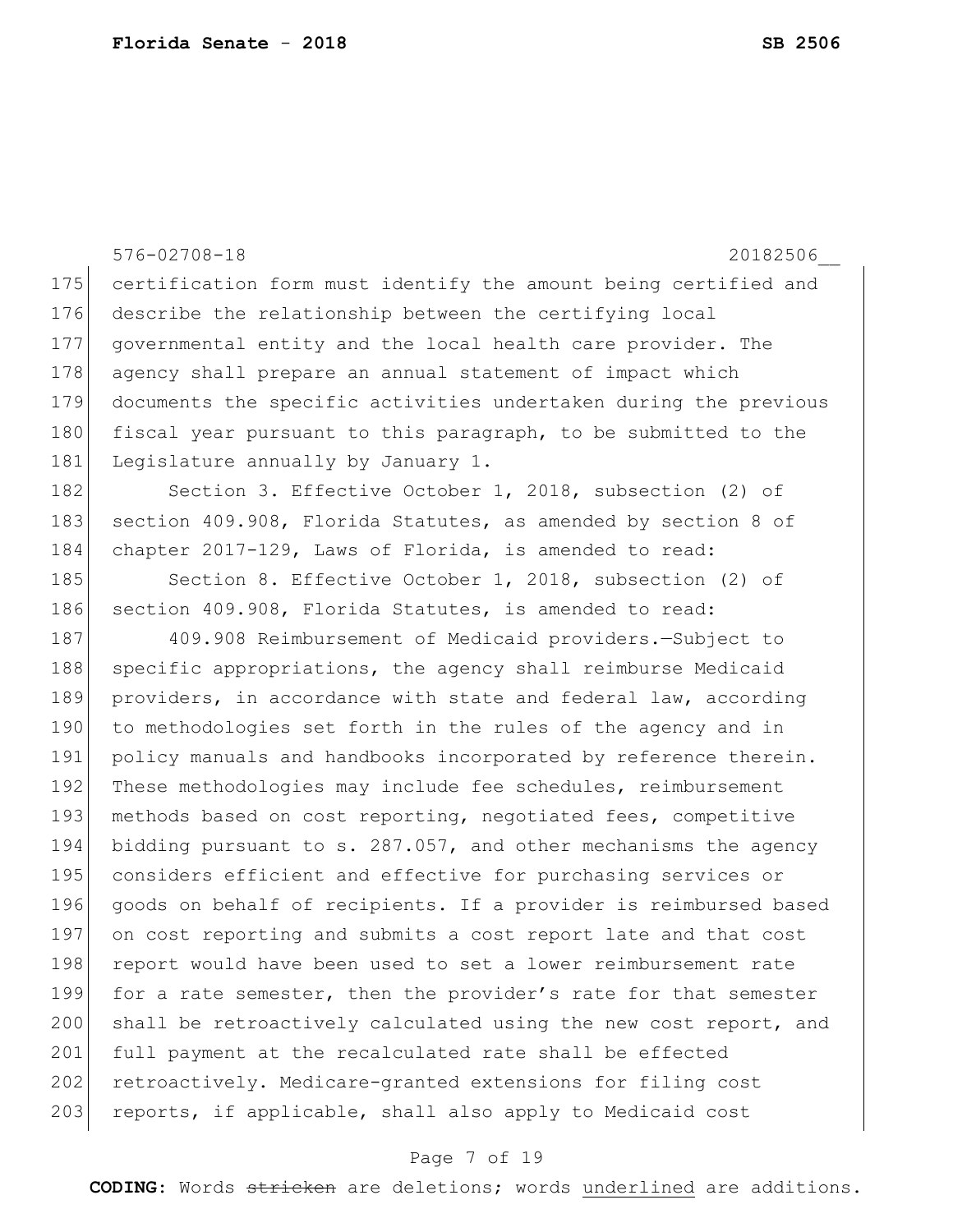|     | $576 - 02708 - 18$<br>20182506                                   |
|-----|------------------------------------------------------------------|
| 175 | certification form must identify the amount being certified and  |
| 176 | describe the relationship between the certifying local           |
| 177 | governmental entity and the local health care provider. The      |
| 178 | agency shall prepare an annual statement of impact which         |
| 179 | documents the specific activities undertaken during the previous |
| 180 | fiscal year pursuant to this paragraph, to be submitted to the   |
| 181 | Legislature annually by January 1.                               |
| 182 | Section 3. Effective October 1, 2018, subsection (2) of          |
| 183 | section 409.908, Florida Statutes, as amended by section 8 of    |
| 184 | chapter 2017-129, Laws of Florida, is amended to read:           |
| 185 | Section 8. Effective October 1, 2018, subsection (2) of          |
| 186 | section 409.908, Florida Statutes, is amended to read:           |
| 187 | 409.908 Reimbursement of Medicaid providers. - Subject to        |
| 188 | specific appropriations, the agency shall reimburse Medicaid     |
| 189 | providers, in accordance with state and federal law, according   |
| 190 | to methodologies set forth in the rules of the agency and in     |
| 191 | policy manuals and handbooks incorporated by reference therein.  |
| 192 | These methodologies may include fee schedules, reimbursement     |
| 193 | methods based on cost reporting, negotiated fees, competitive    |
| 194 | bidding pursuant to s. 287.057, and other mechanisms the agency  |
| 195 | considers efficient and effective for purchasing services or     |
| 196 | goods on behalf of recipients. If a provider is reimbursed based |
| 197 | on cost reporting and submits a cost report late and that cost   |
| 198 | report would have been used to set a lower reimbursement rate    |
| 199 | for a rate semester, then the provider's rate for that semester  |
| 200 | shall be retroactively calculated using the new cost report, and |
| 201 | full payment at the recalculated rate shall be effected          |
| 202 | retroactively. Medicare-granted extensions for filing cost       |
| 203 | reports, if applicable, shall also apply to Medicaid cost        |

# Page 7 of 19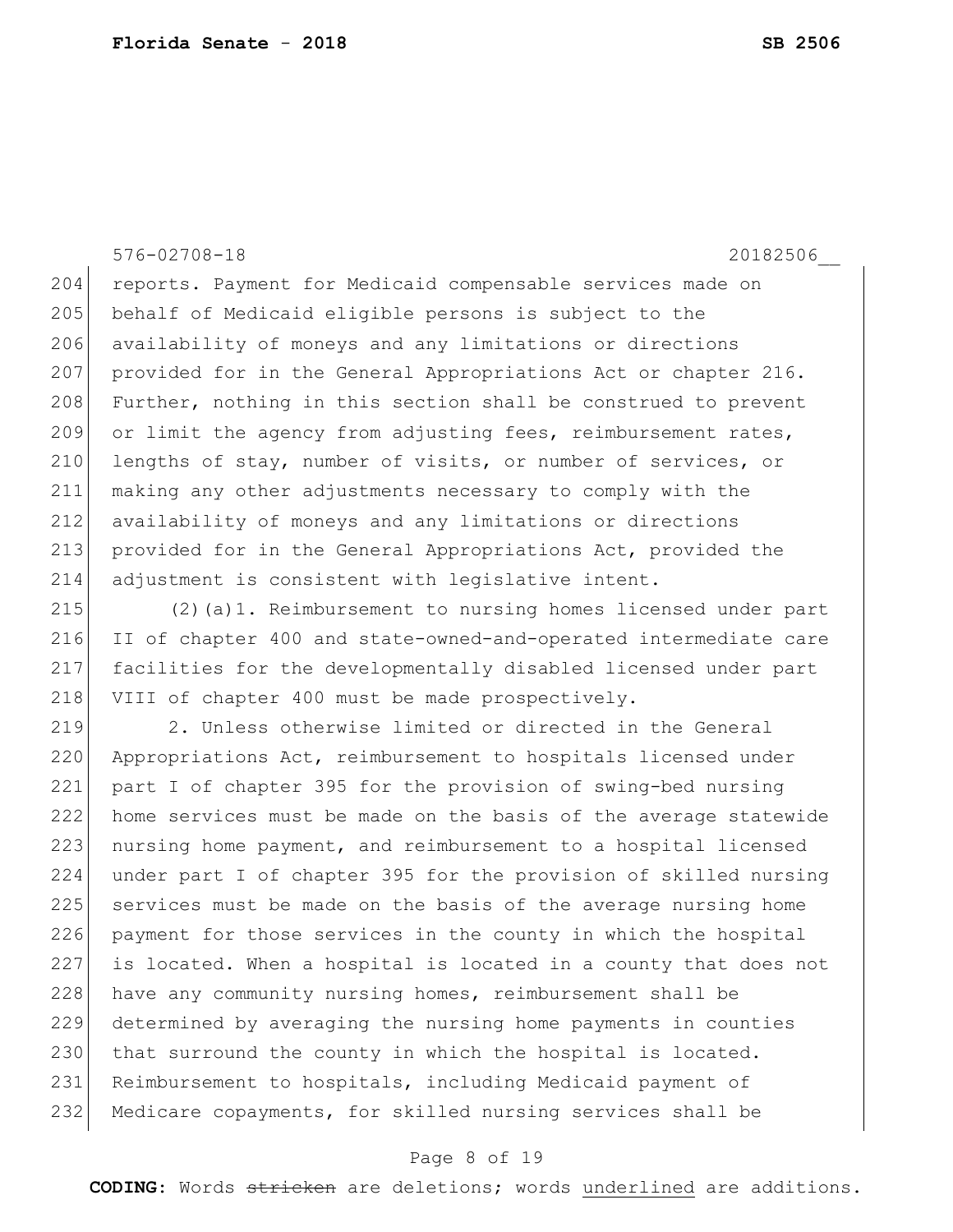576-02708-18 20182506\_\_

204 reports. Payment for Medicaid compensable services made on 205 behalf of Medicaid eligible persons is subject to the 206 availability of moneys and any limitations or directions 207 provided for in the General Appropriations Act or chapter 216. 208 Further, nothing in this section shall be construed to prevent 209 or limit the agency from adjusting fees, reimbursement rates, 210 lengths of stay, number of visits, or number of services, or 211 making any other adjustments necessary to comply with the 212 availability of moneys and any limitations or directions 213 provided for in the General Appropriations Act, provided the 214 adjustment is consistent with legislative intent.

 (2)(a)1. Reimbursement to nursing homes licensed under part II of chapter 400 and state-owned-and-operated intermediate care facilities for the developmentally disabled licensed under part 218 VIII of chapter 400 must be made prospectively.

219 2. Unless otherwise limited or directed in the General 220 Appropriations Act, reimbursement to hospitals licensed under 221 part I of chapter 395 for the provision of swing-bed nursing 222 home services must be made on the basis of the average statewide 223 nursing home payment, and reimbursement to a hospital licensed 224 under part I of chapter 395 for the provision of skilled nursing 225 services must be made on the basis of the average nursing home 226 payment for those services in the county in which the hospital 227 is located. When a hospital is located in a county that does not 228 have any community nursing homes, reimbursement shall be 229 determined by averaging the nursing home payments in counties 230 that surround the county in which the hospital is located. 231 Reimbursement to hospitals, including Medicaid payment of 232 Medicare copayments, for skilled nursing services shall be

#### Page 8 of 19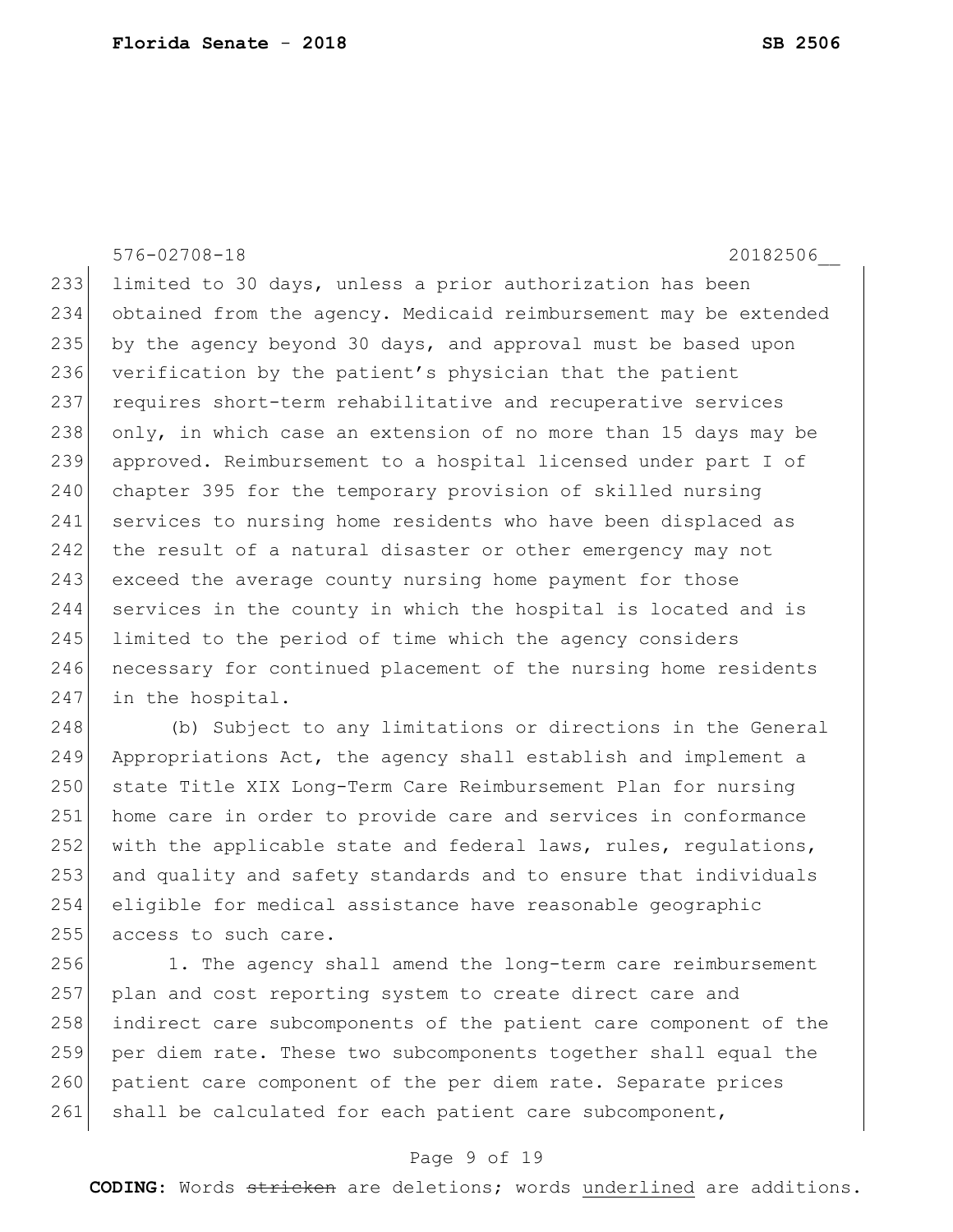576-02708-18 20182506\_\_ 233 limited to 30 days, unless a prior authorization has been 234 obtained from the agency. Medicaid reimbursement may be extended 235 by the agency beyond 30 days, and approval must be based upon 236 verification by the patient's physician that the patient 237 requires short-term rehabilitative and recuperative services 238 only, in which case an extension of no more than 15 days may be 239 approved. Reimbursement to a hospital licensed under part I of 240 chapter 395 for the temporary provision of skilled nursing 241 services to nursing home residents who have been displaced as 242 the result of a natural disaster or other emergency may not 243 exceed the average county nursing home payment for those 244 services in the county in which the hospital is located and is 245 limited to the period of time which the agency considers 246 necessary for continued placement of the nursing home residents 247 in the hospital.

 (b) Subject to any limitations or directions in the General Appropriations Act, the agency shall establish and implement a 250 state Title XIX Long-Term Care Reimbursement Plan for nursing home care in order to provide care and services in conformance 252 with the applicable state and federal laws, rules, regulations, and quality and safety standards and to ensure that individuals eligible for medical assistance have reasonable geographic 255 access to such care.

256 1. The agency shall amend the long-term care reimbursement 257 plan and cost reporting system to create direct care and 258 indirect care subcomponents of the patient care component of the 259 per diem rate. These two subcomponents together shall equal the 260 patient care component of the per diem rate. Separate prices 261 shall be calculated for each patient care subcomponent,

#### Page 9 of 19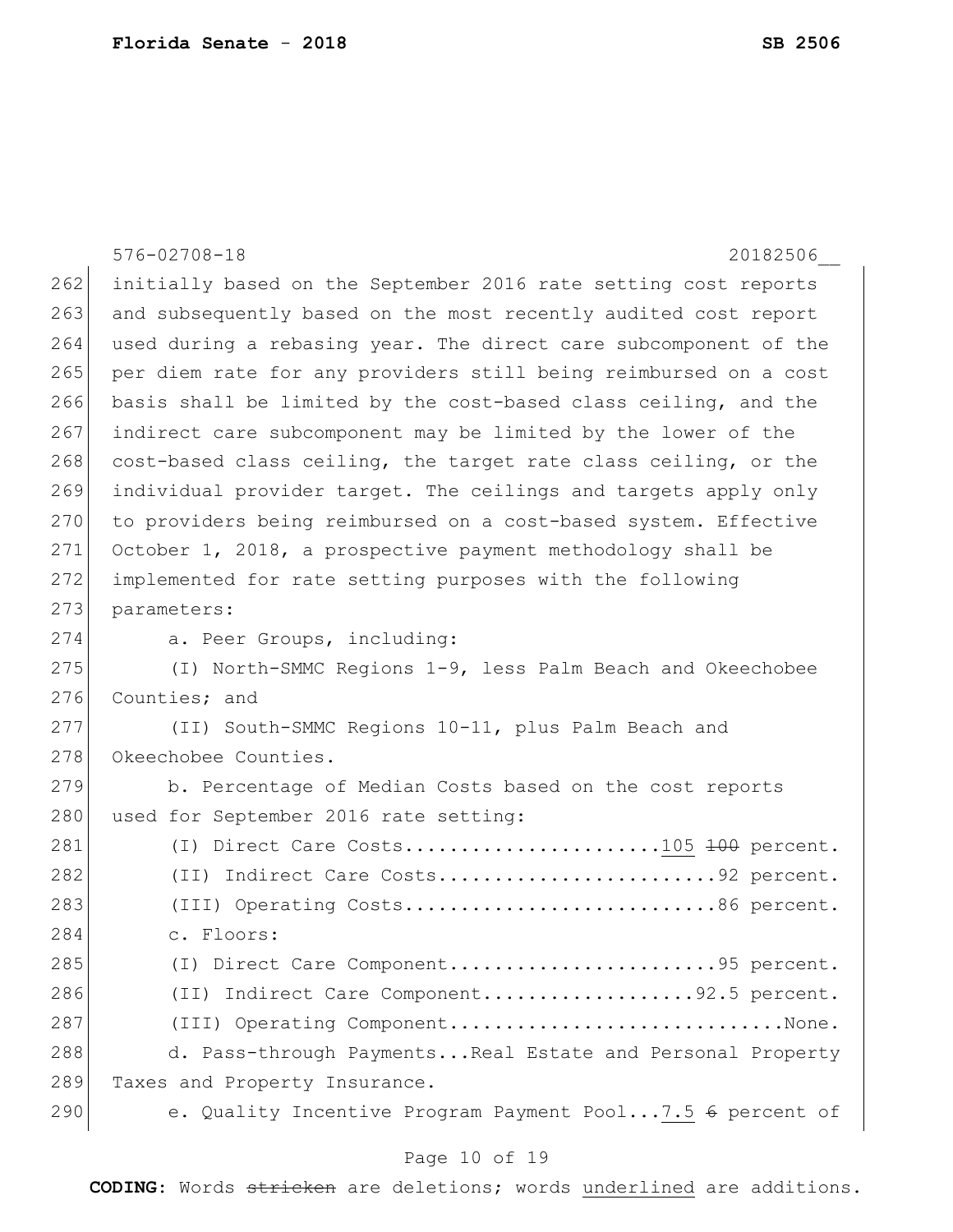576-02708-18 20182506\_\_ 262 initially based on the September 2016 rate setting cost reports 263 and subsequently based on the most recently audited cost report 264 used during a rebasing year. The direct care subcomponent of the 265 per diem rate for any providers still being reimbursed on a cost 266 basis shall be limited by the cost-based class ceiling, and the 267 indirect care subcomponent may be limited by the lower of the 268 cost-based class ceiling, the target rate class ceiling, or the 269 individual provider target. The ceilings and targets apply only 270 to providers being reimbursed on a cost-based system. Effective 271 October 1, 2018, a prospective payment methodology shall be 272 implemented for rate setting purposes with the following 273 parameters: 274 a. Peer Groups, including: 275 (I) North-SMMC Regions 1-9, less Palm Beach and Okeechobee 276 Counties: and 277 (II) South-SMMC Regions 10-11, plus Palm Beach and 278 Okeechobee Counties. 279 b. Percentage of Median Costs based on the cost reports 280 used for September 2016 rate setting: 281 (I) Direct Care Costs.......................105 <del>100</del> percent. 282 (II) Indirect Care Costs...............................92 percent. 283 (III) Operating Costs..................................86 percent. 284 c. Floors: 285 (I) Direct Care Component...............................95 percent. 286 (II) Indirect Care Component...................92.5 percent. 287 (III) Operating Component................................None. 288 d. Pass-through Payments...Real Estate and Personal Property 289 Taxes and Property Insurance. 290 e. Quality Incentive Program Payment Pool...7.5 6 percent of

#### Page 10 of 19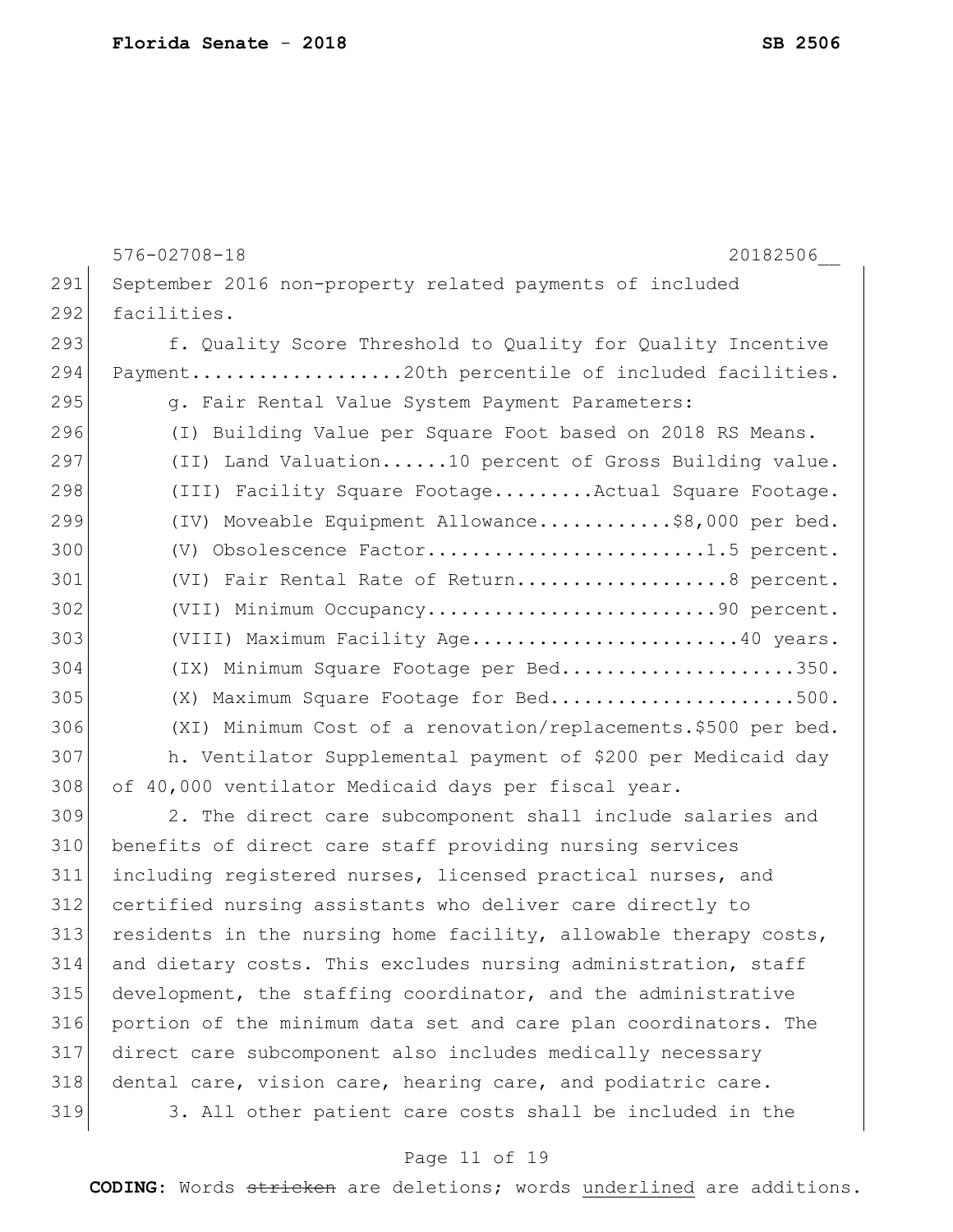|     | $576 - 02708 - 18$<br>20182506                                   |
|-----|------------------------------------------------------------------|
| 291 | September 2016 non-property related payments of included         |
| 292 | facilities.                                                      |
| 293 | f. Quality Score Threshold to Quality for Quality Incentive      |
| 294 | Payment20th percentile of included facilities.                   |
| 295 | g. Fair Rental Value System Payment Parameters:                  |
| 296 | (I) Building Value per Square Foot based on 2018 RS Means.       |
| 297 | (II) Land Valuation10 percent of Gross Building value.           |
| 298 | (III) Facility Square FootageActual Square Footage.              |
| 299 | (IV) Moveable Equipment Allowance\$8,000 per bed.                |
| 300 | (V) Obsolescence Factor1.5 percent.                              |
| 301 | (VI) Fair Rental Rate of Return8 percent.                        |
| 302 | (VII) Minimum Occupancy90 percent.                               |
| 303 | (VIII) Maximum Facility Age40 years.                             |
| 304 | (IX) Minimum Square Footage per Bed350.                          |
| 305 | (X) Maximum Square Footage for Bed500.                           |
| 306 | (XI) Minimum Cost of a renovation/replacements.\$500 per bed.    |
| 307 | h. Ventilator Supplemental payment of \$200 per Medicaid day     |
| 308 | of 40,000 ventilator Medicaid days per fiscal year.              |
| 309 | 2. The direct care subcomponent shall include salaries and       |
| 310 | benefits of direct care staff providing nursing services         |
| 311 | including registered nurses, licensed practical nurses, and      |
| 312 | certified nursing assistants who deliver care directly to        |
| 313 | residents in the nursing home facility, allowable therapy costs, |
| 314 | and dietary costs. This excludes nursing administration, staff   |
| 315 | development, the staffing coordinator, and the administrative    |
| 316 | portion of the minimum data set and care plan coordinators. The  |
| 317 | direct care subcomponent also includes medically necessary       |
| 318 | dental care, vision care, hearing care, and podiatric care.      |
| 319 | 3. All other patient care costs shall be included in the         |

# Page 11 of 19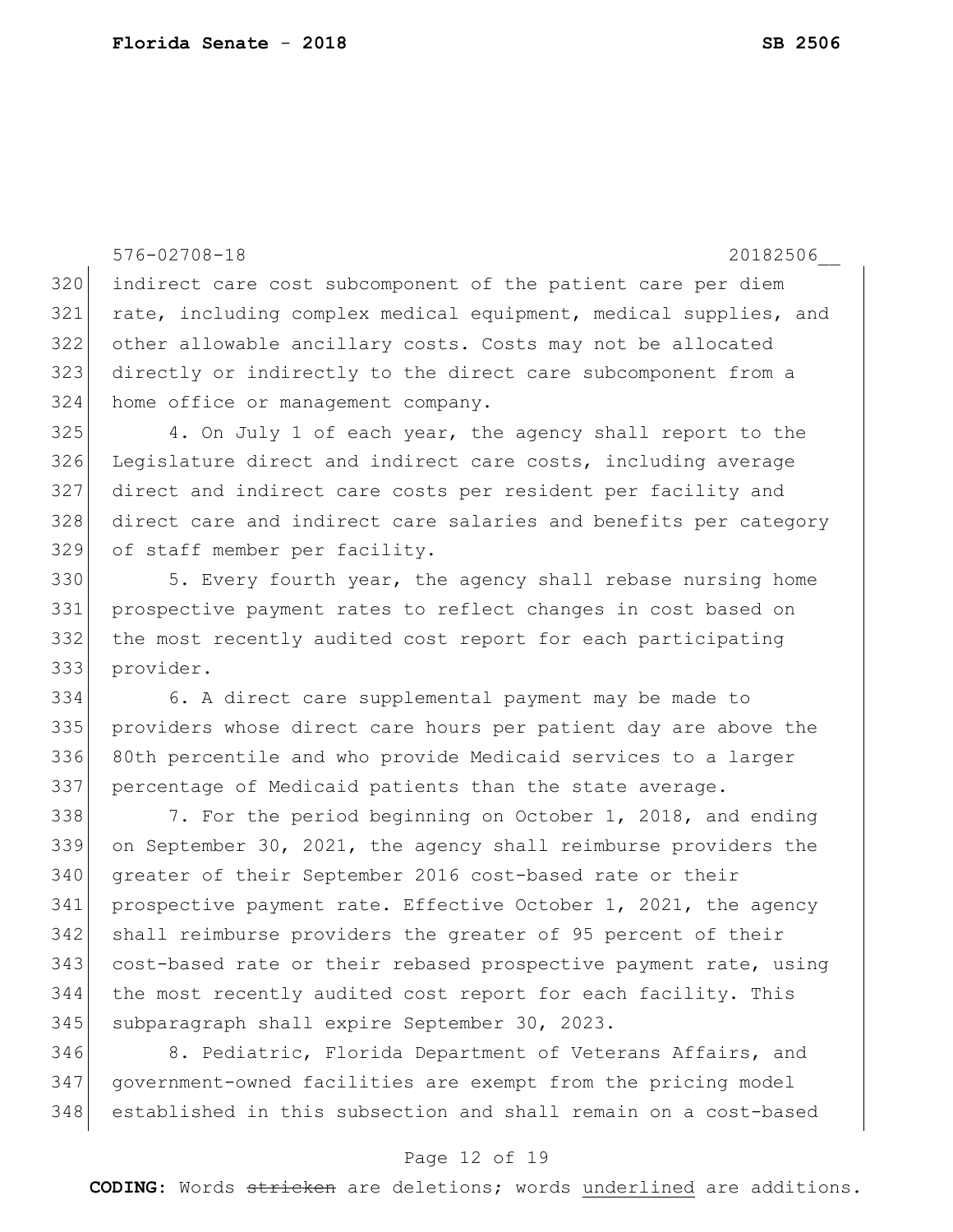```
576-02708-18 20182506__
320 indirect care cost subcomponent of the patient care per diem 
321 rate, including complex medical equipment, medical supplies, and 
322 other allowable ancillary costs. Costs may not be allocated 
323 directly or indirectly to the direct care subcomponent from a 
324 home office or management company.
325 4. On July 1 of each year, the agency shall report to the 
326 Legislature direct and indirect care costs, including average
327 direct and indirect care costs per resident per facility and 
328 direct care and indirect care salaries and benefits per category 
329 of staff member per facility.
330 5. Every fourth year, the agency shall rebase nursing home
331 prospective payment rates to reflect changes in cost based on 
332 the most recently audited cost report for each participating 
333 provider.
334 6. A direct care supplemental payment may be made to 
335 providers whose direct care hours per patient day are above the 
336 80th percentile and who provide Medicaid services to a larger 
337 percentage of Medicaid patients than the state average.
338 7. For the period beginning on October 1, 2018, and ending
339 on September 30, 2021, the agency shall reimburse providers the 
340 greater of their September 2016 cost-based rate or their 
341 prospective payment rate. Effective October 1, 2021, the agency 
342 shall reimburse providers the greater of 95 percent of their 
343 cost-based rate or their rebased prospective payment rate, using 
344 the most recently audited cost report for each facility. This 
345 subparagraph shall expire September 30, 2023.
```
346 8. Pediatric, Florida Department of Veterans Affairs, and government-owned facilities are exempt from the pricing model established in this subsection and shall remain on a cost-based

#### Page 12 of 19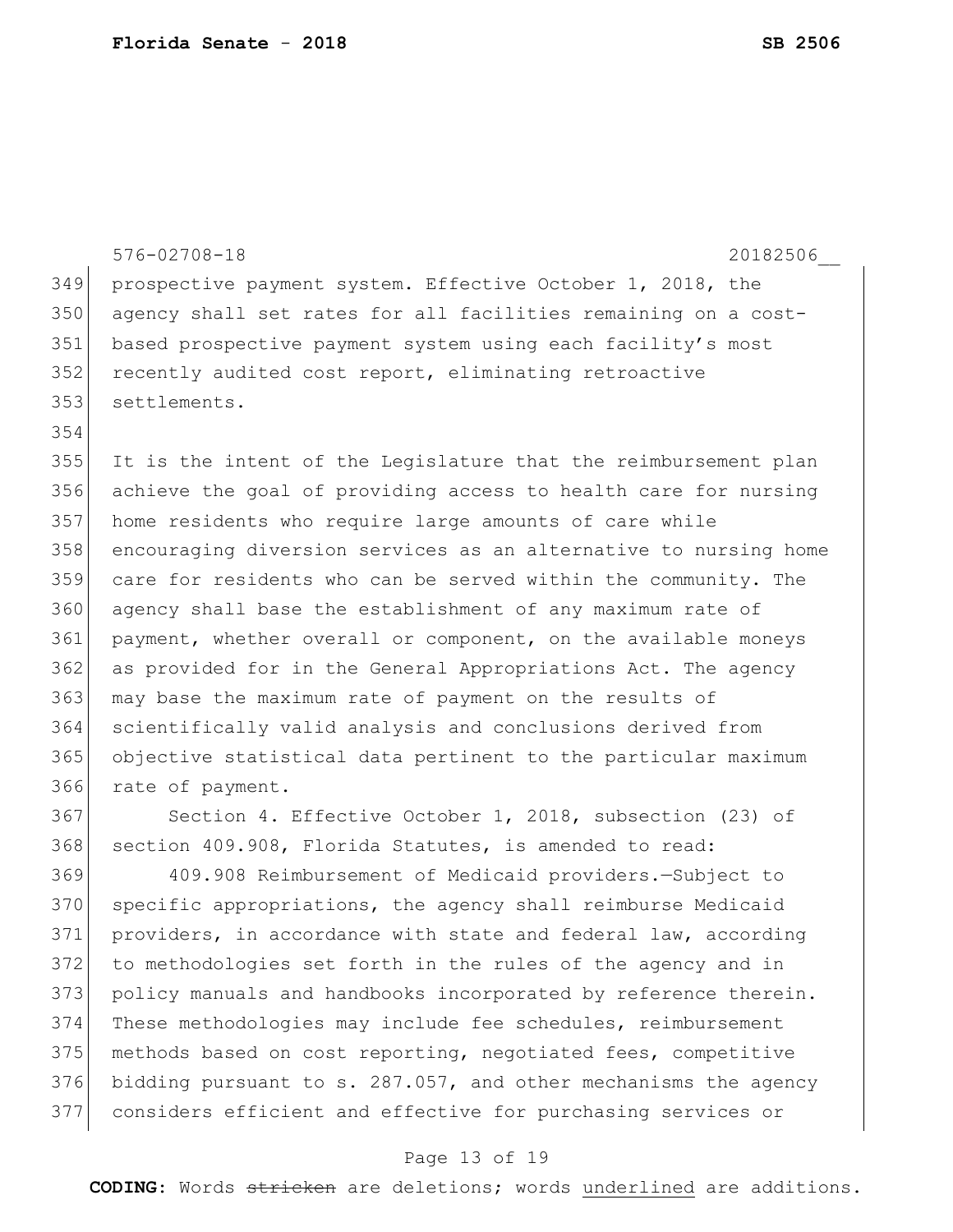|     | $576 - 02708 - 18$<br>20182506                                   |
|-----|------------------------------------------------------------------|
| 349 | prospective payment system. Effective October 1, 2018, the       |
| 350 | agency shall set rates for all facilities remaining on a cost-   |
| 351 | based prospective payment system using each facility's most      |
| 352 | recently audited cost report, eliminating retroactive            |
| 353 | settlements.                                                     |
| 354 |                                                                  |
| 355 | It is the intent of the Legislature that the reimbursement plan  |
| 356 | achieve the goal of providing access to health care for nursing  |
| 357 | home residents who require large amounts of care while           |
| 358 | encouraging diversion services as an alternative to nursing home |
| 359 | care for residents who can be served within the community. The   |
| 360 | agency shall base the establishment of any maximum rate of       |
| 361 | payment, whether overall or component, on the available moneys   |
| 362 | as provided for in the General Appropriations Act. The agency    |
| 363 | may base the maximum rate of payment on the results of           |
| 364 | scientifically valid analysis and conclusions derived from       |
| 365 | objective statistical data pertinent to the particular maximum   |
| 366 | rate of payment.                                                 |
| 367 | Section 4. Effective October 1, 2018, subsection (23) of         |
| 368 | section 409.908, Florida Statutes, is amended to read:           |
| 369 | 409.908 Reimbursement of Medicaid providers. - Subject to        |
| 370 | specific appropriations, the agency shall reimburse Medicaid     |
| 371 | providers, in accordance with state and federal law, according   |
| 372 | to methodologies set forth in the rules of the agency and in     |
| 373 | policy manuals and handbooks incorporated by reference therein.  |
| 374 | These methodologies may include fee schedules, reimbursement     |
| 375 | methods based on cost reporting, negotiated fees, competitive    |

 bidding pursuant to s. 287.057, and other mechanisms the agency considers efficient and effective for purchasing services or

### Page 13 of 19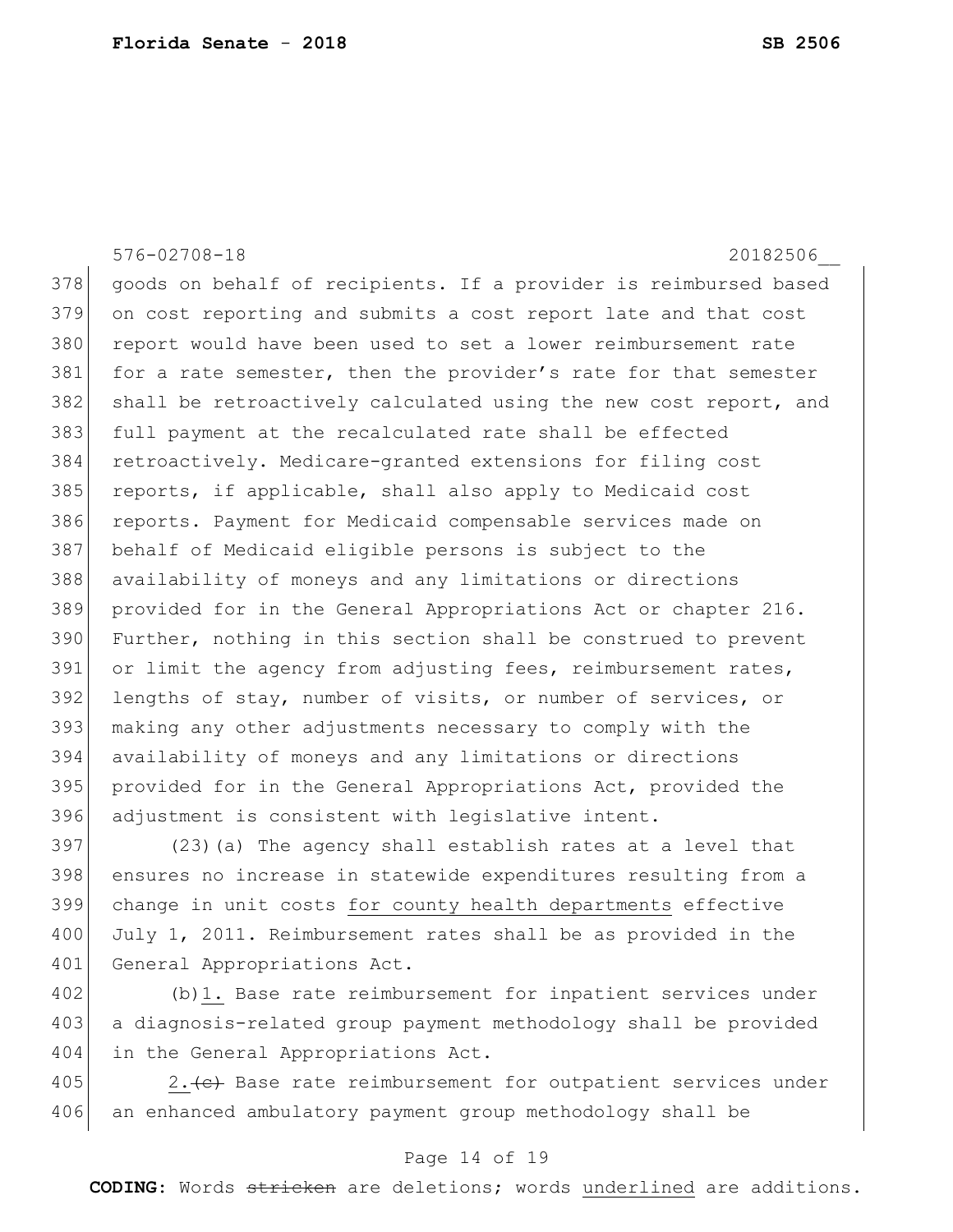576-02708-18 20182506\_\_ 378 goods on behalf of recipients. If a provider is reimbursed based 379 on cost reporting and submits a cost report late and that cost 380 report would have been used to set a lower reimbursement rate 381 for a rate semester, then the provider's rate for that semester 382 shall be retroactively calculated using the new cost report, and 383 full payment at the recalculated rate shall be effected 384 retroactively. Medicare-granted extensions for filing cost 385 reports, if applicable, shall also apply to Medicaid cost 386 reports. Payment for Medicaid compensable services made on 387 behalf of Medicaid eligible persons is subject to the 388 availability of moneys and any limitations or directions 389 provided for in the General Appropriations Act or chapter 216. 390 Further, nothing in this section shall be construed to prevent 391 or limit the agency from adjusting fees, reimbursement rates, 392 lengths of stay, number of visits, or number of services, or 393 making any other adjustments necessary to comply with the 394 availability of moneys and any limitations or directions 395 provided for in the General Appropriations Act, provided the 396 adjustment is consistent with legislative intent.

397 (23)(a) The agency shall establish rates at a level that 398 ensures no increase in statewide expenditures resulting from a 399 change in unit costs for county health departments effective 400 July 1, 2011. Reimbursement rates shall be as provided in the 401 General Appropriations Act.

402 (b)1. Base rate reimbursement for inpatient services under 403 a diagnosis-related group payment methodology shall be provided 404 in the General Appropriations Act.

405 2. (e) Base rate reimbursement for outpatient services under 406 an enhanced ambulatory payment group methodology shall be

#### Page 14 of 19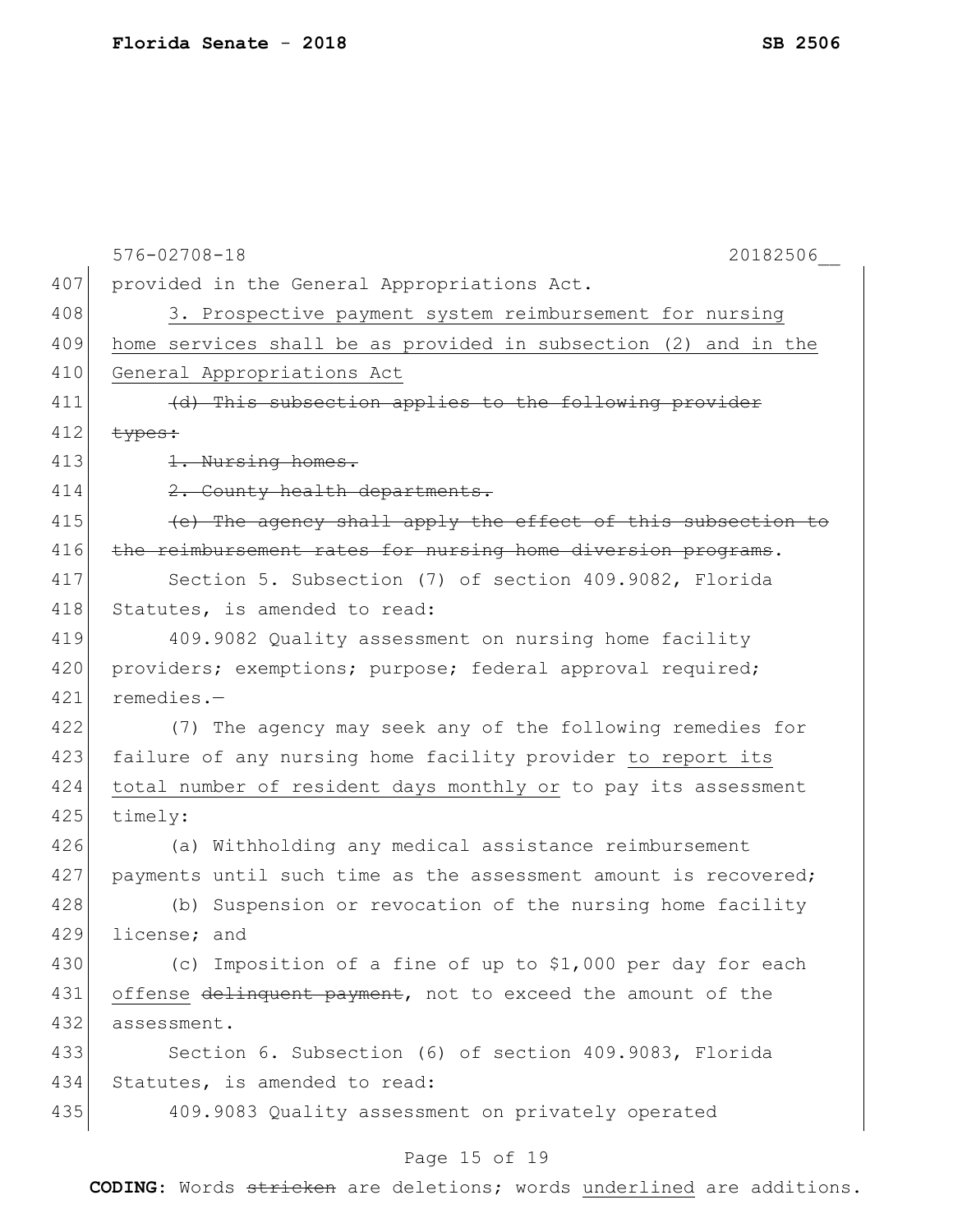|     | $576 - 02708 - 18$<br>20182506                                  |
|-----|-----------------------------------------------------------------|
| 407 | provided in the General Appropriations Act.                     |
| 408 | 3. Prospective payment system reimbursement for nursing         |
| 409 | home services shall be as provided in subsection (2) and in the |
| 410 | General Appropriations Act                                      |
| 411 | (d) This subsection applies to the following provider           |
| 412 | types:                                                          |
| 413 | 1. Nursing homes.                                               |
| 414 | 2. County health departments.                                   |
| 415 | (e) The agency shall apply the effect of this subsection to     |
| 416 | the reimbursement rates for nursing home diversion programs.    |
| 417 | Section 5. Subsection (7) of section 409.9082, Florida          |
| 418 | Statutes, is amended to read:                                   |
| 419 | 409.9082 Quality assessment on nursing home facility            |
| 420 | providers; exemptions; purpose; federal approval required;      |
| 421 | remedies.-                                                      |
| 422 | (7) The agency may seek any of the following remedies for       |
| 423 | failure of any nursing home facility provider to report its     |
| 424 | total number of resident days monthly or to pay its assessment  |
| 425 | timely:                                                         |
| 426 | (a) Withholding any medical assistance reimbursement            |
| 427 | payments until such time as the assessment amount is recovered; |
| 428 | (b) Suspension or revocation of the nursing home facility       |
| 429 | license; and                                                    |
| 430 | (c) Imposition of a fine of up to \$1,000 per day for each      |
| 431 | offense delinquent payment, not to exceed the amount of the     |
| 432 | assessment.                                                     |
| 433 | Section 6. Subsection (6) of section 409.9083, Florida          |
| 434 | Statutes, is amended to read:                                   |
| 435 | 409.9083 Quality assessment on privately operated               |
|     |                                                                 |

# Page 15 of 19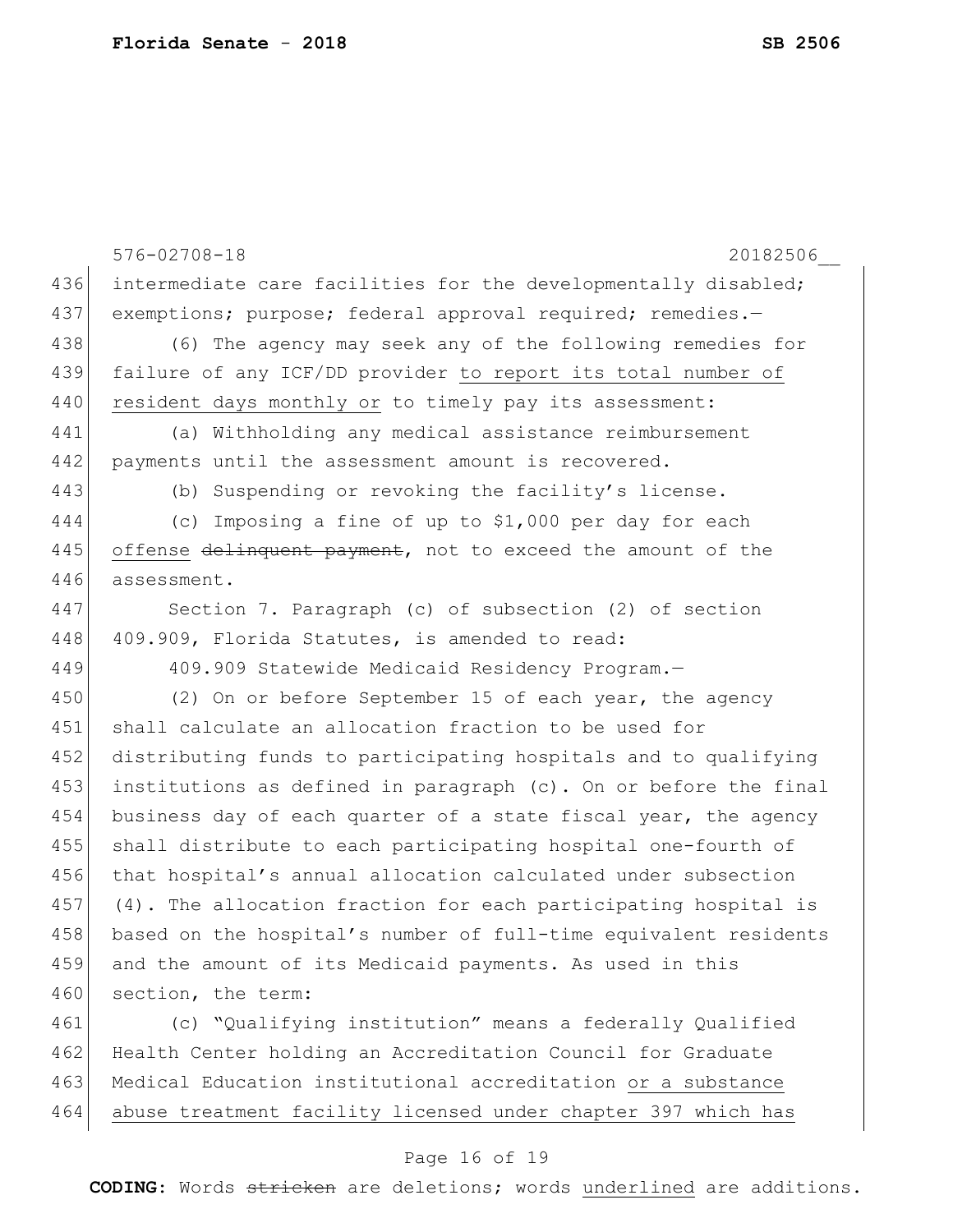576-02708-18 20182506\_\_ 436 intermediate care facilities for the developmentally disabled; 437 exemptions; purpose; federal approval required; remedies.-438 (6) The agency may seek any of the following remedies for 439 failure of any ICF/DD provider to report its total number of 440 resident days monthly or to timely pay its assessment: 441 (a) Withholding any medical assistance reimbursement 442 payments until the assessment amount is recovered. 443 (b) Suspending or revoking the facility's license. 444 (c) Imposing a fine of up to \$1,000 per day for each 445 offense delinquent payment, not to exceed the amount of the 446 assessment. 447 Section 7. Paragraph (c) of subsection (2) of section 448 409.909, Florida Statutes, is amended to read: 449 409.909 Statewide Medicaid Residency Program.— 450 (2) On or before September 15 of each year, the agency 451 shall calculate an allocation fraction to be used for 452 distributing funds to participating hospitals and to qualifying 453 institutions as defined in paragraph (c). On or before the final 454 business day of each quarter of a state fiscal year, the agency 455 shall distribute to each participating hospital one-fourth of 456 that hospital's annual allocation calculated under subsection 457 (4). The allocation fraction for each participating hospital is 458 based on the hospital's number of full-time equivalent residents 459 and the amount of its Medicaid payments. As used in this 460 section, the term: 461 (c) "Qualifying institution" means a federally Qualified 462 Health Center holding an Accreditation Council for Graduate 463 Medical Education institutional accreditation or a substance 464 abuse treatment facility licensed under chapter 397 which has

#### Page 16 of 19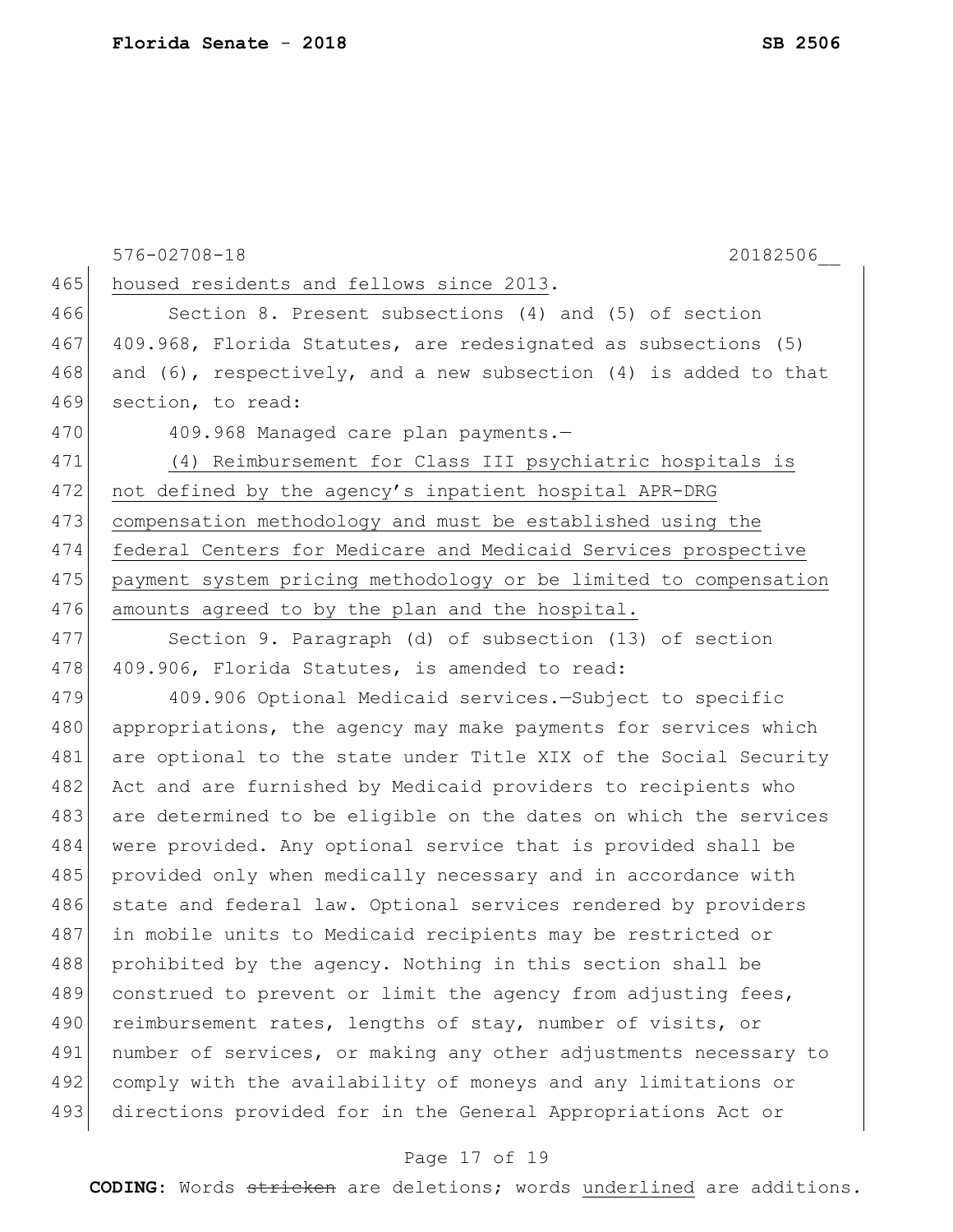|     | $576 - 02708 - 18$<br>20182506                                        |
|-----|-----------------------------------------------------------------------|
| 465 | housed residents and fellows since 2013.                              |
| 466 | Section 8. Present subsections (4) and (5) of section                 |
| 467 | 409.968, Florida Statutes, are redesignated as subsections (5)        |
| 468 | and $(6)$ , respectively, and a new subsection $(4)$ is added to that |
| 469 | section, to read:                                                     |
| 470 | 409.968 Managed care plan payments.-                                  |
| 471 | (4) Reimbursement for Class III psychiatric hospitals is              |
| 472 | not defined by the agency's inpatient hospital APR-DRG                |
| 473 | compensation methodology and must be established using the            |
| 474 | federal Centers for Medicare and Medicaid Services prospective        |
| 475 | payment system pricing methodology or be limited to compensation      |
| 476 | amounts agreed to by the plan and the hospital.                       |
| 477 | Section 9. Paragraph (d) of subsection (13) of section                |
| 478 | 409.906, Florida Statutes, is amended to read:                        |
| 479 | 409.906 Optional Medicaid services.-Subject to specific               |
| 480 | appropriations, the agency may make payments for services which       |
| 481 | are optional to the state under Title XIX of the Social Security      |
| 482 | Act and are furnished by Medicaid providers to recipients who         |
| 483 | are determined to be eligible on the dates on which the services      |
| 484 | were provided. Any optional service that is provided shall be         |
| 485 | provided only when medically necessary and in accordance with         |
| 486 | state and federal law. Optional services rendered by providers        |
| 487 | in mobile units to Medicaid recipients may be restricted or           |
| 488 | prohibited by the agency. Nothing in this section shall be            |
| 489 | construed to prevent or limit the agency from adjusting fees,         |
| 490 | reimbursement rates, lengths of stay, number of visits, or            |
| 491 | number of services, or making any other adjustments necessary to      |
| 492 | comply with the availability of moneys and any limitations or         |
| 493 | directions provided for in the General Appropriations Act or          |
|     |                                                                       |

# Page 17 of 19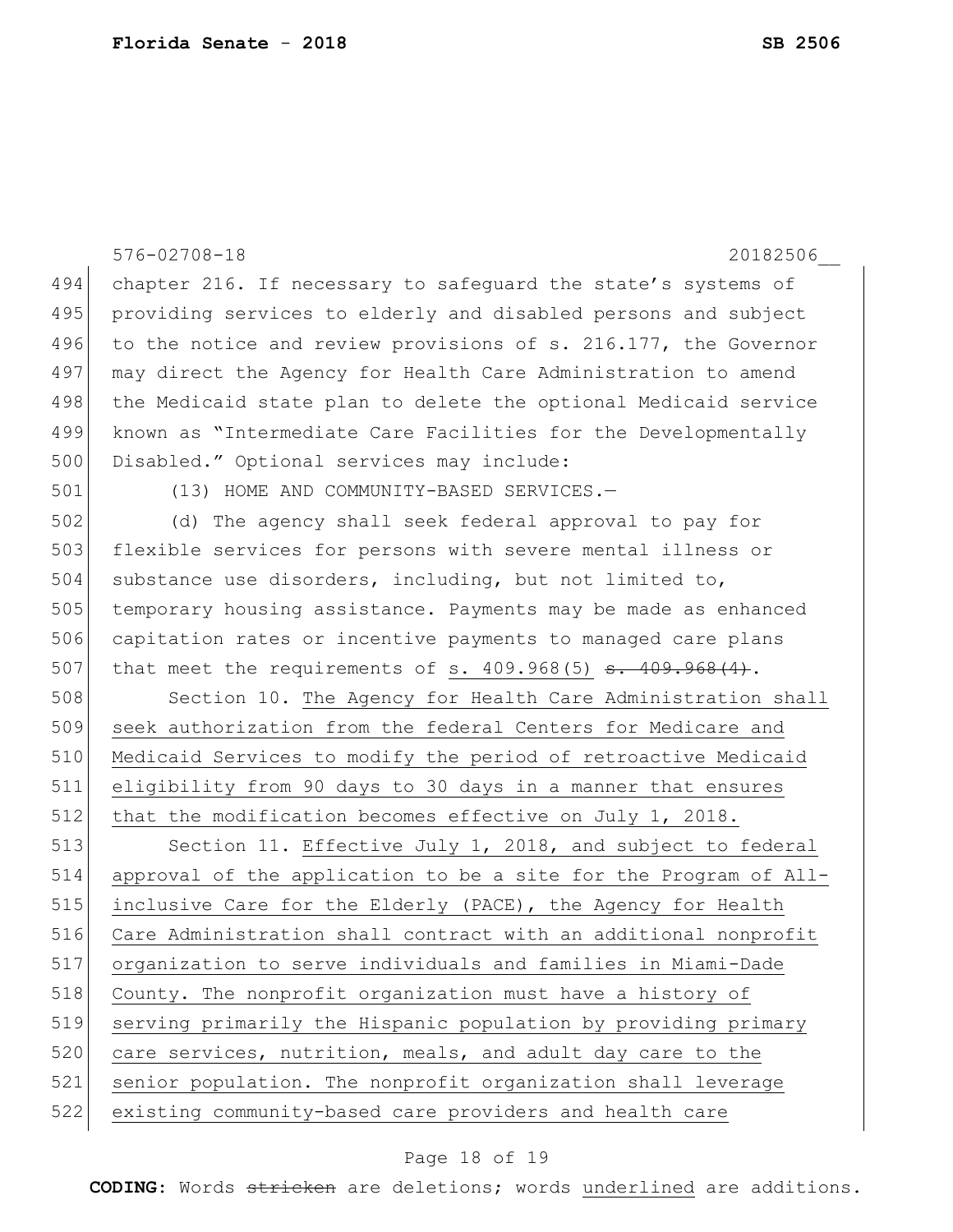|     | $576 - 02708 - 18$<br>20182506                                   |
|-----|------------------------------------------------------------------|
| 494 | chapter 216. If necessary to safequard the state's systems of    |
| 495 | providing services to elderly and disabled persons and subject   |
| 496 | to the notice and review provisions of s. 216.177, the Governor  |
| 497 | may direct the Agency for Health Care Administration to amend    |
| 498 | the Medicaid state plan to delete the optional Medicaid service  |
| 499 | known as "Intermediate Care Facilities for the Developmentally   |
| 500 | Disabled." Optional services may include:                        |
| 501 | (13) HOME AND COMMUNITY-BASED SERVICES.-                         |
| 502 | (d) The agency shall seek federal approval to pay for            |
| 503 | flexible services for persons with severe mental illness or      |
| 504 | substance use disorders, including, but not limited to,          |
| 505 | temporary housing assistance. Payments may be made as enhanced   |
| 506 | capitation rates or incentive payments to managed care plans     |
| 507 | that meet the requirements of s. $409.968(5)$ s. $409.968(4)$ .  |
| 508 | Section 10. The Agency for Health Care Administration shall      |
| 509 | seek authorization from the federal Centers for Medicare and     |
| 510 | Medicaid Services to modify the period of retroactive Medicaid   |
| 511 | eligibility from 90 days to 30 days in a manner that ensures     |
| 512 | that the modification becomes effective on July 1, 2018.         |
| 513 | Section 11. Effective July 1, 2018, and subject to federal       |
| 514 | approval of the application to be a site for the Program of All- |
| 515 | inclusive Care for the Elderly (PACE), the Agency for Health     |
| 516 | Care Administration shall contract with an additional nonprofit  |
| 517 | organization to serve individuals and families in Miami-Dade     |
| 518 | County. The nonprofit organization must have a history of        |
| 519 | serving primarily the Hispanic population by providing primary   |
| 520 | care services, nutrition, meals, and adult day care to the       |
| 521 | senior population. The nonprofit organization shall leverage     |
| 522 | existing community-based care providers and health care          |

# Page 18 of 19